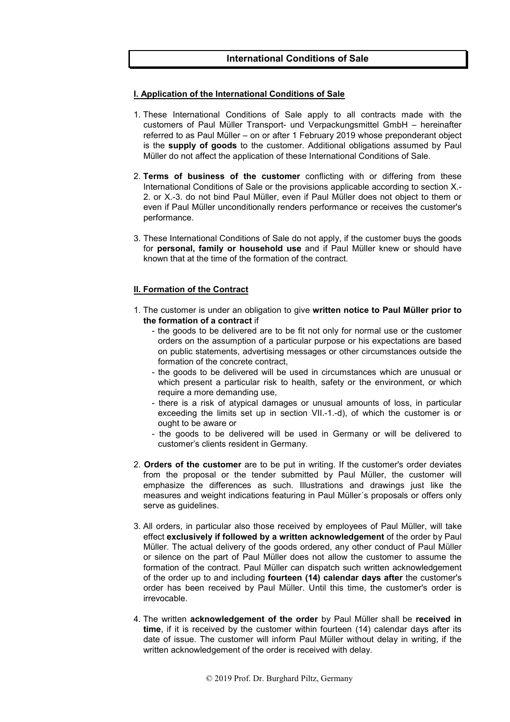# **International Conditions of Sale**

#### **I. Application of the International Conditions of Sale**

- 1. These International Conditions of Sale apply to all contracts made with the customers of Paul Müller Transport- und Verpackungsmittel GmbH – hereinafter referred to as Paul Müller – on or after 1 February 2019 whose preponderant object is the **supply of goods** to the customer. Additional obligations assumed by Paul Müller do not affect the application of these International Conditions of Sale.
- 2. **Terms of business of the customer** conflicting with or differing from these International Conditions of Sale or the provisions applicable according to section X.-2. or X.-3. do not bind Paul Müller, even if Paul Müller does not object to them or even if Paul Müller unconditionally renders performance or receives the customer's performance.
- 3. These International Conditions of Sale do not apply, if the customer buys the goods for **personal, family or household use** and if Paul Müller knew or should have known that at the time of the formation of the contract.

## **II. Formation of the Contract**

- 1. The customer is under an obligation to give **written notice to Paul Müller prior to the formation of a contract** if
	- the goods to be delivered are to be fit not only for normal use or the customer orders on the assumption of a particular purpose or his expectations are based on public statements, advertising messages or other circumstances outside the formation of the concrete contract,
	- the goods to be delivered will be used in circumstances which are unusual or which present a particular risk to health, safety or the environment, or which require a more demanding use,
	- there is a risk of atypical damages or unusual amounts of loss, in particular exceeding the limits set up in section VII.-1.-d), of which the customer is or ought to be aware or
	- the goods to be delivered will be used in Germany or will be delivered to customer's clients resident in Germany.
- 2. **Orders of the customer** are to be put in writing. If the customer's order deviates from the proposal or the tender submitted by Paul Müller, the customer will emphasize the differences as such. Illustrations and drawings just like the measures and weight indications featuring in Paul Müller´s proposals or offers only serve as quidelines.
- 3. All orders, in particular also those received by employees of Paul Müller, will take effect **exclusively if followed by a written acknowledgement** of the order by Paul Müller. The actual delivery of the goods ordered, any other conduct of Paul Müller or silence on the part of Paul Müller does not allow the customer to assume the formation of the contract. Paul Müller can dispatch such written acknowledgement of the order up to and including **fourteen (14) calendar days after** the customer's order has been received by Paul Müller. Until this time, the customer's order is irrevocable.
- 4. The written **acknowledgement of the order** by Paul Müller shall be **received in time**, if it is received by the customer within fourteen (14) calendar days after its date of issue. The customer will inform Paul Müller without delay in writing, if the written acknowledgement of the order is received with delay.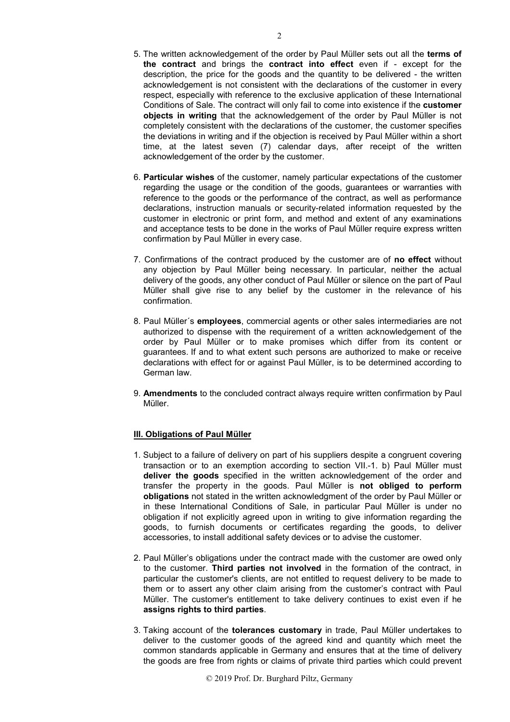- 5. The written acknowledgement of the order by Paul Müller sets out all the **terms of the contract** and brings the **contract into effect** even if - except for the description, the price for the goods and the quantity to be delivered - the written acknowledgement is not consistent with the declarations of the customer in every respect, especially with reference to the exclusive application of these International Conditions of Sale. The contract will only fail to come into existence if the **customer objects in writing** that the acknowledgement of the order by Paul Müller is not completely consistent with the declarations of the customer, the customer specifies the deviations in writing and if the objection is received by Paul Müller within a short time, at the latest seven (7) calendar days, after receipt of the written acknowledgement of the order by the customer.
- 6. **Particular wishes** of the customer, namely particular expectations of the customer regarding the usage or the condition of the goods, guarantees or warranties with reference to the goods or the performance of the contract, as well as performance declarations, instruction manuals or security-related information requested by the customer in electronic or print form, and method and extent of any examinations and acceptance tests to be done in the works of Paul Müller require express written confirmation by Paul Müller in every case.
- 7. Confirmations of the contract produced by the customer are of **no effect** without any objection by Paul Müller being necessary. In particular, neither the actual delivery of the goods, any other conduct of Paul Müller or silence on the part of Paul Müller shall give rise to any belief by the customer in the relevance of his confirmation.
- 8. Paul Müller´s **employees**, commercial agents or other sales intermediaries are not authorized to dispense with the requirement of a written acknowledgement of the order by Paul Müller or to make promises which differ from its content or guarantees. If and to what extent such persons are authorized to make or receive declarations with effect for or against Paul Müller, is to be determined according to German law.
- 9. **Amendments** to the concluded contract always require written confirmation by Paul Müller.

## **III. Obligations of Paul Müller**

- 1. Subject to a failure of delivery on part of his suppliers despite a congruent covering transaction or to an exemption according to section VII.-1. b) Paul Müller must **deliver the goods** specified in the written acknowledgement of the order and transfer the property in the goods. Paul Müller is **not obliged to perform obligations** not stated in the written acknowledgment of the order by Paul Müller or in these International Conditions of Sale, in particular Paul Müller is under no obligation if not explicitly agreed upon in writing to give information regarding the goods, to furnish documents or certificates regarding the goods, to deliver accessories, to install additional safety devices or to advise the customer.
- 2. Paul Müller's obligations under the contract made with the customer are owed only to the customer. **Third parties not involved** in the formation of the contract, in particular the customer's clients, are not entitled to request delivery to be made to them or to assert any other claim arising from the customer's contract with Paul Müller. The customer's entitlement to take delivery continues to exist even if he **assigns rights to third parties**.
- 3. Taking account of the **tolerances customary** in trade, Paul Müller undertakes to deliver to the customer goods of the agreed kind and quantity which meet the common standards applicable in Germany and ensures that at the time of delivery the goods are free from rights or claims of private third parties which could prevent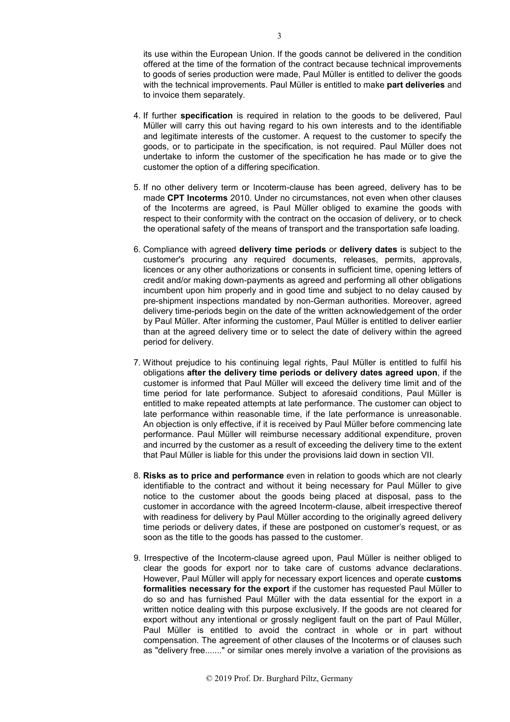its use within the European Union. If the goods cannot be delivered in the condition offered at the time of the formation of the contract because technical improvements to goods of series production were made, Paul Müller is entitled to deliver the goods with the technical improvements. Paul Müller is entitled to make **part deliveries** and to invoice them separately.

- 4. If further **specification** is required in relation to the goods to be delivered, Paul Müller will carry this out having regard to his own interests and to the identifiable and legitimate interests of the customer. A request to the customer to specify the goods, or to participate in the specification, is not required. Paul Müller does not undertake to inform the customer of the specification he has made or to give the customer the option of a differing specification.
- 5. If no other delivery term or Incoterm-clause has been agreed, delivery has to be made **CPT Incoterms** 2010. Under no circumstances, not even when other clauses of the Incoterms are agreed, is Paul Müller obliged to examine the goods with respect to their conformity with the contract on the occasion of delivery, or to check the operational safety of the means of transport and the transportation safe loading.
- 6. Compliance with agreed **delivery time periods** or **delivery dates** is subject to the customer's procuring any required documents, releases, permits, approvals, licences or any other authorizations or consents in sufficient time, opening letters of credit and/or making down-payments as agreed and performing all other obligations incumbent upon him properly and in good time and subject to no delay caused by pre-shipment inspections mandated by non-German authorities. Moreover, agreed delivery time-periods begin on the date of the written acknowledgement of the order by Paul Müller. After informing the customer, Paul Müller is entitled to deliver earlier than at the agreed delivery time or to select the date of delivery within the agreed period for delivery.
- 7. Without prejudice to his continuing legal rights, Paul Müller is entitled to fulfil his obligations **after the delivery time periods or delivery dates agreed upon**, if the customer is informed that Paul Müller will exceed the delivery time limit and of the time period for late performance. Subject to aforesaid conditions, Paul Müller is entitled to make repeated attempts at late performance. The customer can object to late performance within reasonable time, if the late performance is unreasonable. An objection is only effective, if it is received by Paul Müller before commencing late performance. Paul Müller will reimburse necessary additional expenditure, proven and incurred by the customer as a result of exceeding the delivery time to the extent that Paul Müller is liable for this under the provisions laid down in section VII.
- 8. **Risks as to price and performance** even in relation to goods which are not clearly identifiable to the contract and without it being necessary for Paul Müller to give notice to the customer about the goods being placed at disposal, pass to the customer in accordance with the agreed Incoterm-clause, albeit irrespective thereof with readiness for delivery by Paul Müller according to the originally agreed delivery time periods or delivery dates, if these are postponed on customer's request, or as soon as the title to the goods has passed to the customer.
- 9. Irrespective of the Incoterm-clause agreed upon, Paul Müller is neither obliged to clear the goods for export nor to take care of customs advance declarations. However, Paul Müller will apply for necessary export licences and operate **customs formalities necessary for the export** if the customer has requested Paul Müller to do so and has furnished Paul Müller with the data essential for the export in a written notice dealing with this purpose exclusively. If the goods are not cleared for export without any intentional or grossly negligent fault on the part of Paul Müller, Paul Müller is entitled to avoid the contract in whole or in part without compensation. The agreement of other clauses of the Incoterms or of clauses such as "delivery free......." or similar ones merely involve a variation of the provisions as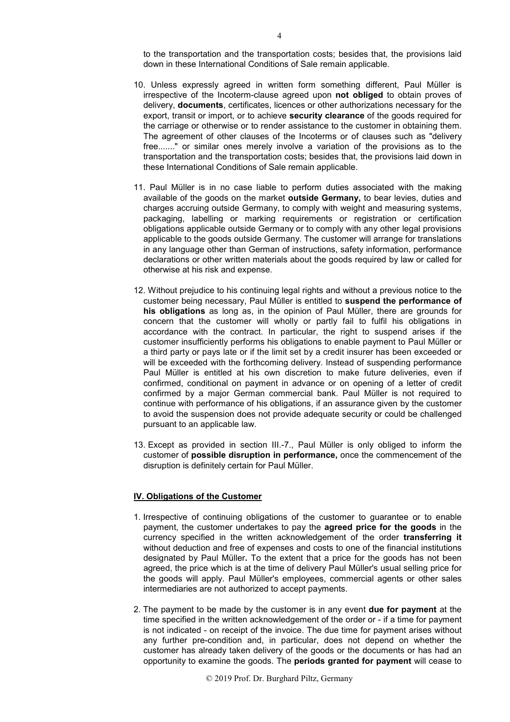to the transportation and the transportation costs; besides that, the provisions laid down in these International Conditions of Sale remain applicable.

- 10. Unless expressly agreed in written form something different, Paul Müller is irrespective of the Incoterm-clause agreed upon **not obliged** to obtain proves of delivery, **documents**, certificates, licences or other authorizations necessary for the export, transit or import, or to achieve **security clearance** of the goods required for the carriage or otherwise or to render assistance to the customer in obtaining them. The agreement of other clauses of the Incoterms or of clauses such as "delivery free......." or similar ones merely involve a variation of the provisions as to the transportation and the transportation costs; besides that, the provisions laid down in these International Conditions of Sale remain applicable.
- 11. Paul Müller is in no case liable to perform duties associated with the making available of the goods on the market **outside Germany,** to bear levies, duties and charges accruing outside Germany, to comply with weight and measuring systems, packaging, labelling or marking requirements or registration or certification obligations applicable outside Germany or to comply with any other legal provisions applicable to the goods outside Germany. The customer will arrange for translations in any language other than German of instructions, safety information, performance declarations or other written materials about the goods required by law or called for otherwise at his risk and expense.
- 12. Without prejudice to his continuing legal rights and without a previous notice to the customer being necessary, Paul Müller is entitled to **suspend the performance of his obligations** as long as, in the opinion of Paul Müller, there are grounds for concern that the customer will wholly or partly fail to fulfil his obligations in accordance with the contract. In particular, the right to suspend arises if the customer insufficiently performs his obligations to enable payment to Paul Müller or a third party or pays late or if the limit set by a credit insurer has been exceeded or will be exceeded with the forthcoming delivery. Instead of suspending performance Paul Müller is entitled at his own discretion to make future deliveries, even if confirmed, conditional on payment in advance or on opening of a letter of credit confirmed by a major German commercial bank. Paul Müller is not required to continue with performance of his obligations, if an assurance given by the customer to avoid the suspension does not provide adequate security or could be challenged pursuant to an applicable law.
- 13. Except as provided in section III.-7., Paul Müller is only obliged to inform the customer of **possible disruption in performance,** once the commencement of the disruption is definitely certain for Paul Müller.

## **IV. Obligations of the Customer**

- 1. Irrespective of continuing obligations of the customer to guarantee or to enable payment, the customer undertakes to pay the **agreed price for the goods** in the currency specified in the written acknowledgement of the order **transferring it** without deduction and free of expenses and costs to one of the financial institutions designated by Paul Müller**.** To the extent that a price for the goods has not been agreed, the price which is at the time of delivery Paul Müller's usual selling price for the goods will apply. Paul Müller's employees, commercial agents or other sales intermediaries are not authorized to accept payments.
- 2. The payment to be made by the customer is in any event **due for payment** at the time specified in the written acknowledgement of the order or - if a time for payment is not indicated - on receipt of the invoice. The due time for payment arises without any further pre-condition and, in particular, does not depend on whether the customer has already taken delivery of the goods or the documents or has had an opportunity to examine the goods. The **periods granted for payment** will cease to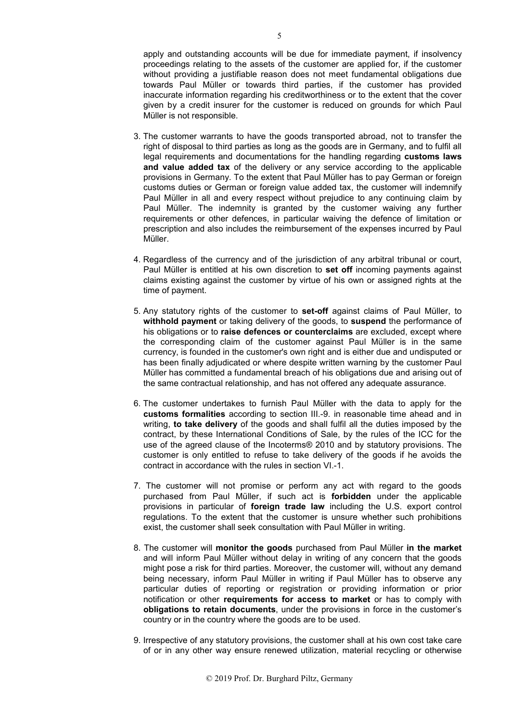apply and outstanding accounts will be due for immediate payment, if insolvency proceedings relating to the assets of the customer are applied for, if the customer without providing a justifiable reason does not meet fundamental obligations due towards Paul Müller or towards third parties, if the customer has provided inaccurate information regarding his creditworthiness or to the extent that the cover given by a credit insurer for the customer is reduced on grounds for which Paul Müller is not responsible.

- 3. The customer warrants to have the goods transported abroad, not to transfer the right of disposal to third parties as long as the goods are in Germany, and to fulfil all legal requirements and documentations for the handling regarding **customs laws and value added tax** of the delivery or any service according to the applicable provisions in Germany. To the extent that Paul Müller has to pay German or foreign customs duties or German or foreign value added tax, the customer will indemnify Paul Müller in all and every respect without prejudice to any continuing claim by Paul Müller. The indemnity is granted by the customer waiving any further requirements or other defences, in particular waiving the defence of limitation or prescription and also includes the reimbursement of the expenses incurred by Paul Müller.
- 4. Regardless of the currency and of the jurisdiction of any arbitral tribunal or court, Paul Müller is entitled at his own discretion to **set off** incoming payments against claims existing against the customer by virtue of his own or assigned rights at the time of payment.
- 5. Any statutory rights of the customer to **set-off** against claims of Paul Müller, to **withhold payment** or taking delivery of the goods, to **suspend** the performance of his obligations or to **raise defences or counterclaims** are excluded, except where the corresponding claim of the customer against Paul Müller is in the same currency, is founded in the customer's own right and is either due and undisputed or has been finally adjudicated or where despite written warning by the customer Paul Müller has committed a fundamental breach of his obligations due and arising out of the same contractual relationship, and has not offered any adequate assurance.
- 6. The customer undertakes to furnish Paul Müller with the data to apply for the **customs formalities** according to section III.-9. in reasonable time ahead and in writing, **to take delivery** of the goods and shall fulfil all the duties imposed by the contract, by these International Conditions of Sale, by the rules of the ICC for the use of the agreed clause of the Incoterms® 2010 and by statutory provisions. The customer is only entitled to refuse to take delivery of the goods if he avoids the contract in accordance with the rules in section VI.-1.
- 7. The customer will not promise or perform any act with regard to the goods purchased from Paul Müller, if such act is **forbidden** under the applicable provisions in particular of **foreign trade law** including the U.S. export control regulations. To the extent that the customer is unsure whether such prohibitions exist, the customer shall seek consultation with Paul Müller in writing.
- 8. The customer will **monitor the goods** purchased from Paul Müller **in the market** and will inform Paul Müller without delay in writing of any concern that the goods might pose a risk for third parties. Moreover, the customer will, without any demand being necessary, inform Paul Müller in writing if Paul Müller has to observe any particular duties of reporting or registration or providing information or prior notification or other **requirements for access to market** or has to comply with **obligations to retain documents**, under the provisions in force in the customer's country or in the country where the goods are to be used.
- 9. Irrespective of any statutory provisions, the customer shall at his own cost take care of or in any other way ensure renewed utilization, material recycling or otherwise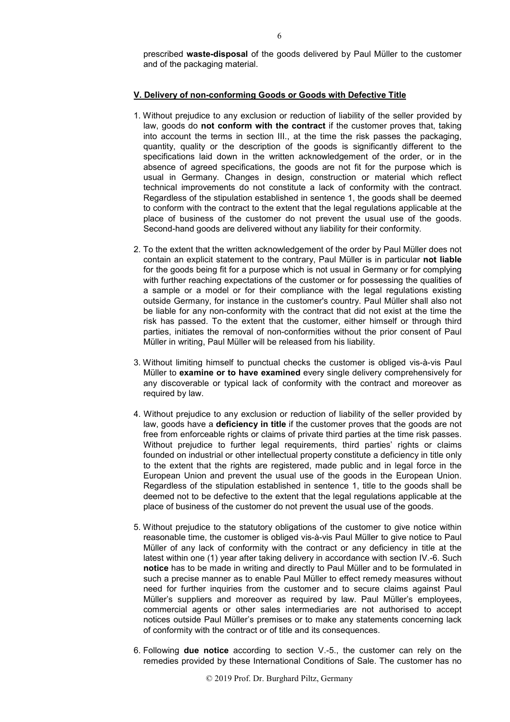prescribed **waste-disposal** of the goods delivered by Paul Müller to the customer and of the packaging material.

# **V. Delivery of non-conforming Goods or Goods with Defective Title**

- 1. Without prejudice to any exclusion or reduction of liability of the seller provided by law, goods do **not conform with the contract** if the customer proves that, taking into account the terms in section III., at the time the risk passes the packaging, quantity, quality or the description of the goods is significantly different to the specifications laid down in the written acknowledgement of the order, or in the absence of agreed specifications, the goods are not fit for the purpose which is usual in Germany. Changes in design, construction or material which reflect technical improvements do not constitute a lack of conformity with the contract. Regardless of the stipulation established in sentence 1, the goods shall be deemed to conform with the contract to the extent that the legal regulations applicable at the place of business of the customer do not prevent the usual use of the goods. Second-hand goods are delivered without any liability for their conformity.
- 2. To the extent that the written acknowledgement of the order by Paul Müller does not contain an explicit statement to the contrary, Paul Müller is in particular **not liable** for the goods being fit for a purpose which is not usual in Germany or for complying with further reaching expectations of the customer or for possessing the qualities of a sample or a model or for their compliance with the legal regulations existing outside Germany, for instance in the customer's country. Paul Müller shall also not be liable for any non-conformity with the contract that did not exist at the time the risk has passed. To the extent that the customer, either himself or through third parties, initiates the removal of non-conformities without the prior consent of Paul Müller in writing, Paul Müller will be released from his liability.
- 3. Without limiting himself to punctual checks the customer is obliged vis-à-vis Paul Müller to **examine or to have examined** every single delivery comprehensively for any discoverable or typical lack of conformity with the contract and moreover as required by law.
- 4. Without prejudice to any exclusion or reduction of liability of the seller provided by law, goods have a **deficiency in title** if the customer proves that the goods are not free from enforceable rights or claims of private third parties at the time risk passes. Without prejudice to further legal requirements, third parties' rights or claims founded on industrial or other intellectual property constitute a deficiency in title only to the extent that the rights are registered, made public and in legal force in the European Union and prevent the usual use of the goods in the European Union. Regardless of the stipulation established in sentence 1, title to the goods shall be deemed not to be defective to the extent that the legal regulations applicable at the place of business of the customer do not prevent the usual use of the goods.
- 5. Without prejudice to the statutory obligations of the customer to give notice within reasonable time, the customer is obliged vis-à-vis Paul Müller to give notice to Paul Müller of any lack of conformity with the contract or any deficiency in title at the latest within one (1) year after taking delivery in accordance with section IV.-6. Such **notice** has to be made in writing and directly to Paul Müller and to be formulated in such a precise manner as to enable Paul Müller to effect remedy measures without need for further inquiries from the customer and to secure claims against Paul Müller's suppliers and moreover as required by law. Paul Müller's employees, commercial agents or other sales intermediaries are not authorised to accept notices outside Paul Müller's premises or to make any statements concerning lack of conformity with the contract or of title and its consequences.
- 6. Following **due notice** according to section V.-5., the customer can rely on the remedies provided by these International Conditions of Sale. The customer has no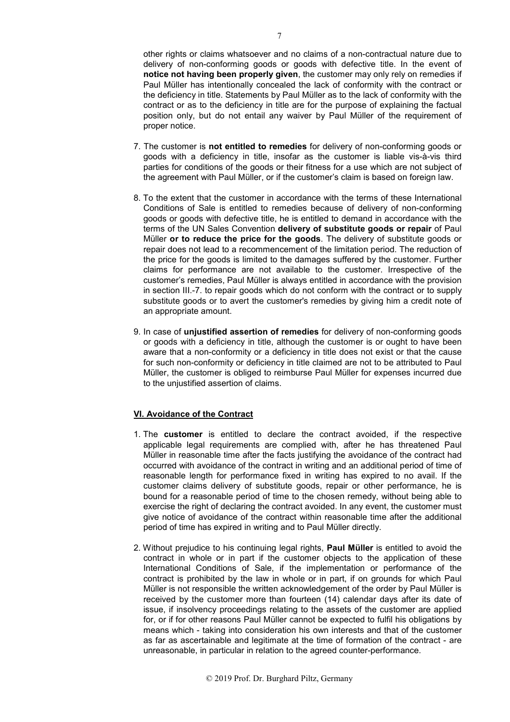other rights or claims whatsoever and no claims of a non-contractual nature due to delivery of non-conforming goods or goods with defective title. In the event of **notice not having been properly given**, the customer may only rely on remedies if Paul Müller has intentionally concealed the lack of conformity with the contract or the deficiency in title. Statements by Paul Müller as to the lack of conformity with the contract or as to the deficiency in title are for the purpose of explaining the factual position only, but do not entail any waiver by Paul Müller of the requirement of proper notice.

- 7. The customer is **not entitled to remedies** for delivery of non-conforming goods or goods with a deficiency in title, insofar as the customer is liable vis-à-vis third parties for conditions of the goods or their fitness for a use which are not subject of the agreement with Paul Müller, or if the customer's claim is based on foreign law.
- 8. To the extent that the customer in accordance with the terms of these International Conditions of Sale is entitled to remedies because of delivery of non-conforming goods or goods with defective title, he is entitled to demand in accordance with the terms of the UN Sales Convention **delivery of substitute goods or repair** of Paul Müller **or to reduce the price for the goods**. The delivery of substitute goods or repair does not lead to a recommencement of the limitation period. The reduction of the price for the goods is limited to the damages suffered by the customer. Further claims for performance are not available to the customer. Irrespective of the customer's remedies, Paul Müller is always entitled in accordance with the provision in section III.-7. to repair goods which do not conform with the contract or to supply substitute goods or to avert the customer's remedies by giving him a credit note of an appropriate amount.
- 9. In case of **unjustified assertion of remedies** for delivery of non-conforming goods or goods with a deficiency in title, although the customer is or ought to have been aware that a non-conformity or a deficiency in title does not exist or that the cause for such non-conformity or deficiency in title claimed are not to be attributed to Paul Müller, the customer is obliged to reimburse Paul Müller for expenses incurred due to the unjustified assertion of claims.

### **VI. Avoidance of the Contract**

- 1. The **customer** is entitled to declare the contract avoided, if the respective applicable legal requirements are complied with, after he has threatened Paul Müller in reasonable time after the facts justifying the avoidance of the contract had occurred with avoidance of the contract in writing and an additional period of time of reasonable length for performance fixed in writing has expired to no avail. If the customer claims delivery of substitute goods, repair or other performance, he is bound for a reasonable period of time to the chosen remedy, without being able to exercise the right of declaring the contract avoided. In any event, the customer must give notice of avoidance of the contract within reasonable time after the additional period of time has expired in writing and to Paul Müller directly.
- 2. Without prejudice to his continuing legal rights, **Paul Müller** is entitled to avoid the contract in whole or in part if the customer objects to the application of these International Conditions of Sale, if the implementation or performance of the contract is prohibited by the law in whole or in part, if on grounds for which Paul Müller is not responsible the written acknowledgement of the order by Paul Müller is received by the customer more than fourteen (14) calendar days after its date of issue, if insolvency proceedings relating to the assets of the customer are applied for, or if for other reasons Paul Müller cannot be expected to fulfil his obligations by means which - taking into consideration his own interests and that of the customer as far as ascertainable and legitimate at the time of formation of the contract - are unreasonable, in particular in relation to the agreed counter-performance.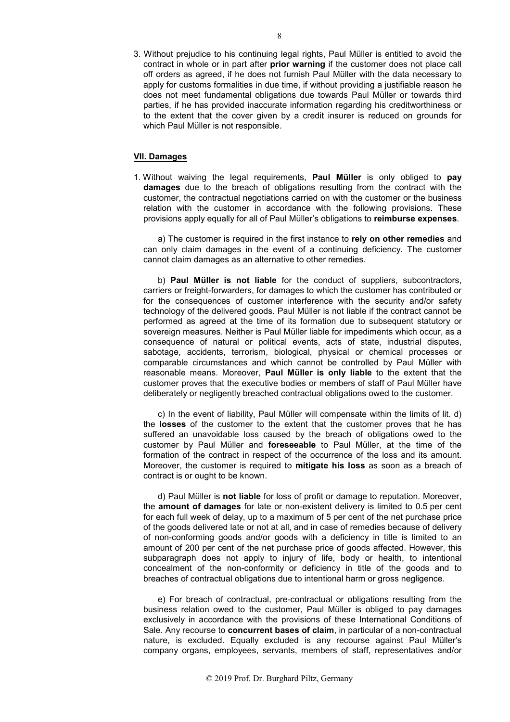3. Without prejudice to his continuing legal rights, Paul Müller is entitled to avoid the contract in whole or in part after **prior warning** if the customer does not place call off orders as agreed, if he does not furnish Paul Müller with the data necessary to apply for customs formalities in due time, if without providing a justifiable reason he does not meet fundamental obligations due towards Paul Müller or towards third parties, if he has provided inaccurate information regarding his creditworthiness or to the extent that the cover given by a credit insurer is reduced on grounds for which Paul Müller is not responsible.

#### **VII. Damages**

1. Without waiving the legal requirements, **Paul Müller** is only obliged to **pay damages** due to the breach of obligations resulting from the contract with the customer, the contractual negotiations carried on with the customer or the business relation with the customer in accordance with the following provisions. These provisions apply equally for all of Paul Müller's obligations to **reimburse expenses**.

a) The customer is required in the first instance to **rely on other remedies** and can only claim damages in the event of a continuing deficiency. The customer cannot claim damages as an alternative to other remedies.

b) **Paul Müller is not liable** for the conduct of suppliers, subcontractors, carriers or freight-forwarders, for damages to which the customer has contributed or for the consequences of customer interference with the security and/or safety technology of the delivered goods. Paul Müller is not liable if the contract cannot be performed as agreed at the time of its formation due to subsequent statutory or sovereign measures. Neither is Paul Müller liable for impediments which occur, as a consequence of natural or political events, acts of state, industrial disputes, sabotage, accidents, terrorism, biological, physical or chemical processes or comparable circumstances and which cannot be controlled by Paul Müller with reasonable means. Moreover, **Paul Müller is only liable** to the extent that the customer proves that the executive bodies or members of staff of Paul Müller have deliberately or negligently breached contractual obligations owed to the customer.

c) In the event of liability, Paul Müller will compensate within the limits of lit. d) the **losses** of the customer to the extent that the customer proves that he has suffered an unavoidable loss caused by the breach of obligations owed to the customer by Paul Müller and **foreseeable** to Paul Müller, at the time of the formation of the contract in respect of the occurrence of the loss and its amount. Moreover, the customer is required to **mitigate his loss** as soon as a breach of contract is or ought to be known.

d) Paul Müller is **not liable** for loss of profit or damage to reputation. Moreover, the **amount of damages** for late or non-existent delivery is limited to 0.5 per cent for each full week of delay, up to a maximum of 5 per cent of the net purchase price of the goods delivered late or not at all, and in case of remedies because of delivery of non-conforming goods and/or goods with a deficiency in title is limited to an amount of 200 per cent of the net purchase price of goods affected. However, this subparagraph does not apply to injury of life, body or health, to intentional concealment of the non-conformity or deficiency in title of the goods and to breaches of contractual obligations due to intentional harm or gross negligence.

e) For breach of contractual, pre-contractual or obligations resulting from the business relation owed to the customer, Paul Müller is obliged to pay damages exclusively in accordance with the provisions of these International Conditions of Sale. Any recourse to **concurrent bases of claim**, in particular of a non-contractual nature, is excluded. Equally excluded is any recourse against Paul Müller's company organs, employees, servants, members of staff, representatives and/or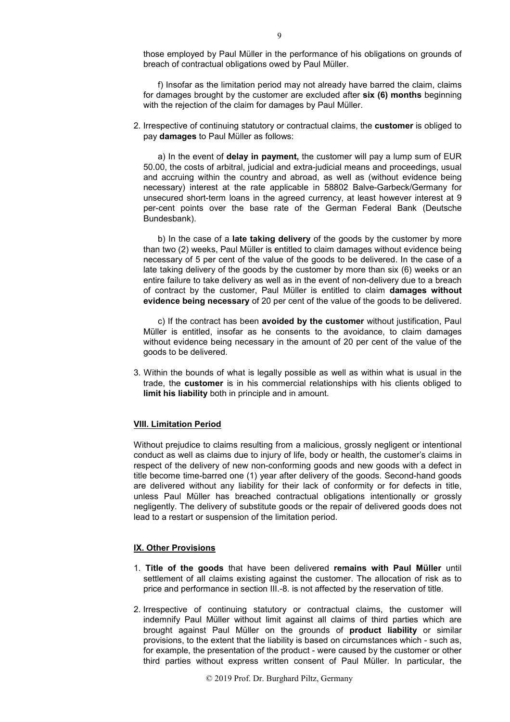those employed by Paul Müller in the performance of his obligations on grounds of breach of contractual obligations owed by Paul Müller.

f) Insofar as the limitation period may not already have barred the claim, claims for damages brought by the customer are excluded after **six (6) months** beginning with the rejection of the claim for damages by Paul Müller.

2. Irrespective of continuing statutory or contractual claims, the **customer** is obliged to pay **damages** to Paul Müller as follows:

a) In the event of **delay in payment,** the customer will pay a lump sum of EUR 50.00, the costs of arbitral, judicial and extra-judicial means and proceedings, usual and accruing within the country and abroad, as well as (without evidence being necessary) interest at the rate applicable in 58802 Balve-Garbeck/Germany for unsecured short-term loans in the agreed currency, at least however interest at 9 per-cent points over the base rate of the German Federal Bank (Deutsche Bundesbank).

b) In the case of a **late taking delivery** of the goods by the customer by more than two (2) weeks, Paul Müller is entitled to claim damages without evidence being necessary of 5 per cent of the value of the goods to be delivered. In the case of a late taking delivery of the goods by the customer by more than six (6) weeks or an entire failure to take delivery as well as in the event of non-delivery due to a breach of contract by the customer, Paul Müller is entitled to claim **damages without evidence being necessary** of 20 per cent of the value of the goods to be delivered.

c) If the contract has been **avoided by the customer** without justification, Paul Müller is entitled, insofar as he consents to the avoidance, to claim damages without evidence being necessary in the amount of 20 per cent of the value of the goods to be delivered.

3. Within the bounds of what is legally possible as well as within what is usual in the trade, the **customer** is in his commercial relationships with his clients obliged to **limit his liability** both in principle and in amount.

### **VIII. Limitation Period**

Without prejudice to claims resulting from a malicious, grossly negligent or intentional conduct as well as claims due to injury of life, body or health, the customer's claims in respect of the delivery of new non-conforming goods and new goods with a defect in title become time-barred one (1) year after delivery of the goods. Second-hand goods are delivered without any liability for their lack of conformity or for defects in title, unless Paul Müller has breached contractual obligations intentionally or grossly negligently. The delivery of substitute goods or the repair of delivered goods does not lead to a restart or suspension of the limitation period.

#### **IX. Other Provisions**

- 1. **Title of the goods** that have been delivered **remains with Paul Müller** until settlement of all claims existing against the customer. The allocation of risk as to price and performance in section III.-8. is not affected by the reservation of title.
- 2. Irrespective of continuing statutory or contractual claims, the customer will indemnify Paul Müller without limit against all claims of third parties which are brought against Paul Müller on the grounds of **product liability** or similar provisions, to the extent that the liability is based on circumstances which - such as, for example, the presentation of the product - were caused by the customer or other third parties without express written consent of Paul Müller. In particular, the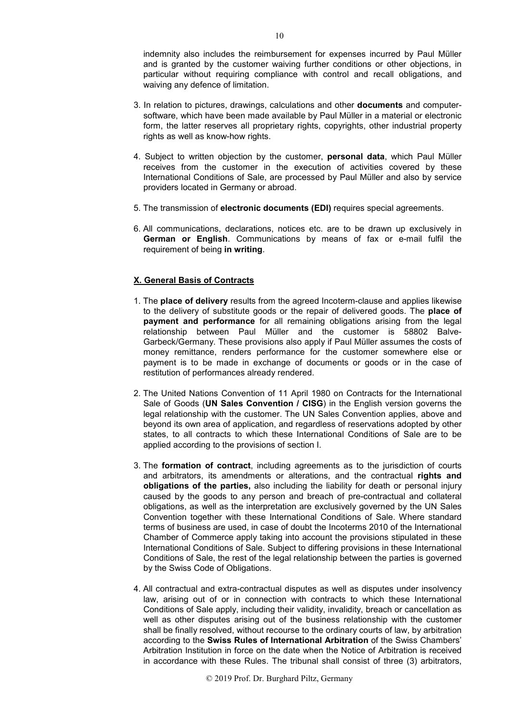indemnity also includes the reimbursement for expenses incurred by Paul Müller and is granted by the customer waiving further conditions or other objections, in particular without requiring compliance with control and recall obligations, and waiving any defence of limitation.

- 3. In relation to pictures, drawings, calculations and other **documents** and computersoftware, which have been made available by Paul Müller in a material or electronic form, the latter reserves all proprietary rights, copyrights, other industrial property rights as well as know-how rights.
- 4. Subject to written objection by the customer, **personal data**, which Paul Müller receives from the customer in the execution of activities covered by these International Conditions of Sale, are processed by Paul Müller and also by service providers located in Germany or abroad.
- 5. The transmission of **electronic documents (EDI)** requires special agreements.
- 6. All communications, declarations, notices etc. are to be drawn up exclusively in **German or English**. Communications by means of fax or e-mail fulfil the requirement of being **in writing**.

## **X. General Basis of Contracts**

- 1. The **place of delivery** results from the agreed Incoterm-clause and applies likewise to the delivery of substitute goods or the repair of delivered goods. The **place of payment and performance** for all remaining obligations arising from the legal relationship between Paul Müller and the customer is 58802 Balve-Garbeck/Germany. These provisions also apply if Paul Müller assumes the costs of money remittance, renders performance for the customer somewhere else or payment is to be made in exchange of documents or goods or in the case of restitution of performances already rendered.
- 2. The United Nations Convention of 11 April 1980 on Contracts for the International Sale of Goods (**UN Sales Convention / CISG**) in the English version governs the legal relationship with the customer. The UN Sales Convention applies, above and beyond its own area of application, and regardless of reservations adopted by other states, to all contracts to which these International Conditions of Sale are to be applied according to the provisions of section I.
- 3. The **formation of contract**, including agreements as to the jurisdiction of courts and arbitrators, its amendments or alterations, and the contractual **rights and obligations of the parties,** also including the liability for death or personal injury caused by the goods to any person and breach of pre-contractual and collateral obligations, as well as the interpretation are exclusively governed by the UN Sales Convention together with these International Conditions of Sale. Where standard terms of business are used, in case of doubt the Incoterms 2010 of the International Chamber of Commerce apply taking into account the provisions stipulated in these International Conditions of Sale. Subject to differing provisions in these International Conditions of Sale, the rest of the legal relationship between the parties is governed by the Swiss Code of Obligations.
- 4. All contractual and extra-contractual disputes as well as disputes under insolvency law, arising out of or in connection with contracts to which these International Conditions of Sale apply, including their validity, invalidity, breach or cancellation as well as other disputes arising out of the business relationship with the customer shall be finally resolved, without recourse to the ordinary courts of law, by arbitration according to the **Swiss Rules of International Arbitration** of the Swiss Chambers' Arbitration Institution in force on the date when the Notice of Arbitration is received in accordance with these Rules. The tribunal shall consist of three (3) arbitrators,